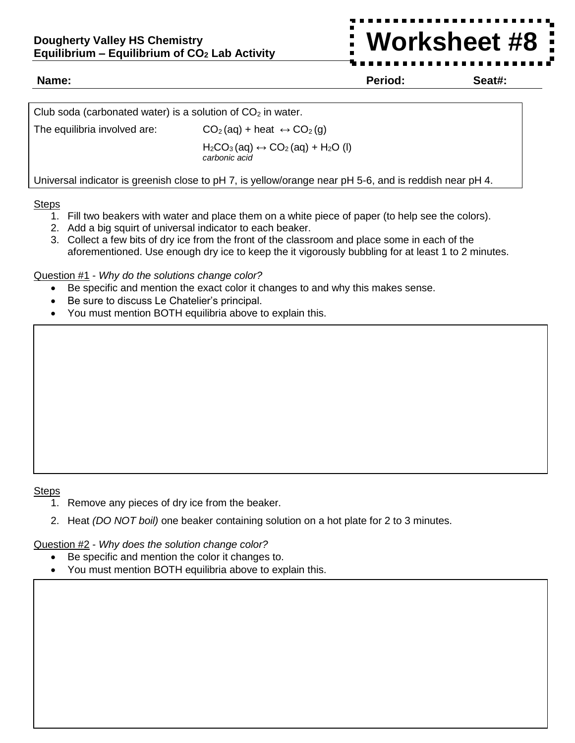**Name: Period: Seat#: #X\***

**Worksheet #8**

| Club soda (carbonated water) is a solution of $CO2$ in water. |                                                                                               |  |  |  |
|---------------------------------------------------------------|-----------------------------------------------------------------------------------------------|--|--|--|
| The equilibria involved are:                                  | $CO2(aq) + heat \leftrightarrow CO2(g)$                                                       |  |  |  |
|                                                               | $H_2CO_3$ (aq) $\leftrightarrow$ CO <sub>2</sub> (aq) + H <sub>2</sub> O (I)<br>carbonic acid |  |  |  |

Universal indicator is greenish close to pH 7, is yellow/orange near pH 5-6, and is reddish near pH 4.

## **Steps**

- 1. Fill two beakers with water and place them on a white piece of paper (to help see the colors).
- 2. Add a big squirt of universal indicator to each beaker.
- 3. Collect a few bits of dry ice from the front of the classroom and place some in each of the aforementioned. Use enough dry ice to keep the it vigorously bubbling for at least 1 to 2 minutes.

## Question #1 - *Why do the solutions change color?*

- Be specific and mention the exact color it changes to and why this makes sense.
- Be sure to discuss Le Chatelier's principal.
- You must mention BOTH equilibria above to explain this.

## Steps

- 1. Remove any pieces of dry ice from the beaker.
- 2. Heat *(DO NOT boil)* one beaker containing solution on a hot plate for 2 to 3 minutes.

Question #2 - *Why does the solution change color?* 

- Be specific and mention the color it changes to.
- You must mention BOTH equilibria above to explain this.